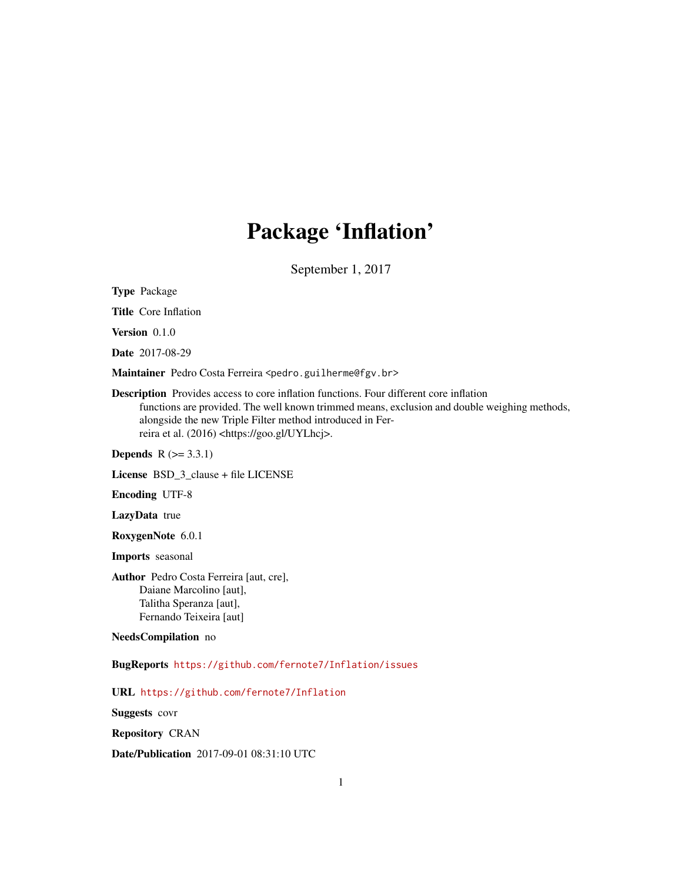# Package 'Inflation'

September 1, 2017

<span id="page-0-0"></span>Type Package

Title Core Inflation

Version 0.1.0

Date 2017-08-29

Maintainer Pedro Costa Ferreira <pedro.guilherme@fgv.br>

Description Provides access to core inflation functions. Four different core inflation functions are provided. The well known trimmed means, exclusion and double weighing methods, alongside the new Triple Filter method introduced in Ferreira et al. (2016) <https://goo.gl/UYLhcj>.

**Depends**  $R$  ( $>= 3.3.1$ )

License BSD\_3\_clause + file LICENSE

Encoding UTF-8

LazyData true

RoxygenNote 6.0.1

Imports seasonal

Author Pedro Costa Ferreira [aut, cre], Daiane Marcolino [aut], Talitha Speranza [aut], Fernando Teixeira [aut]

NeedsCompilation no

BugReports <https://github.com/fernote7/Inflation/issues>

URL <https://github.com/fernote7/Inflation>

Suggests covr

Repository CRAN

Date/Publication 2017-09-01 08:31:10 UTC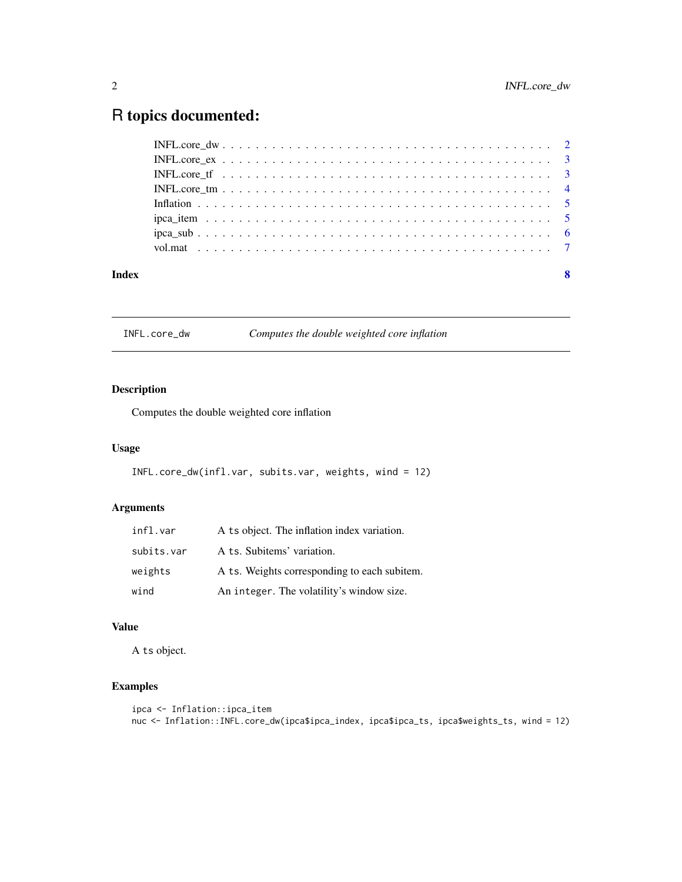# <span id="page-1-0"></span>R topics documented:

|       | INFL core if $\ldots \ldots \ldots \ldots \ldots \ldots \ldots \ldots \ldots \ldots \ldots \ldots \ldots$ |                         |
|-------|-----------------------------------------------------------------------------------------------------------|-------------------------|
|       |                                                                                                           |                         |
|       |                                                                                                           |                         |
|       |                                                                                                           |                         |
|       |                                                                                                           |                         |
|       |                                                                                                           |                         |
|       |                                                                                                           |                         |
| Index |                                                                                                           | $\overline{\mathbf{8}}$ |

INFL.core\_dw *Computes the double weighted core inflation*

#### Description

Computes the double weighted core inflation

#### Usage

```
INFL.core_dw(infl.var, subits.var, weights, wind = 12)
```
#### Arguments

| infl.var   | A ts object. The inflation index variation.  |
|------------|----------------------------------------------|
| subits.var | A ts. Subitems' variation.                   |
| weights    | A ts. Weights corresponding to each subitem. |
| wind       | An integer. The volatility's window size.    |

#### Value

A ts object.

### Examples

```
ipca <- Inflation::ipca_item
nuc <- Inflation::INFL.core_dw(ipca$ipca_index, ipca$ipca_ts, ipca$weights_ts, wind = 12)
```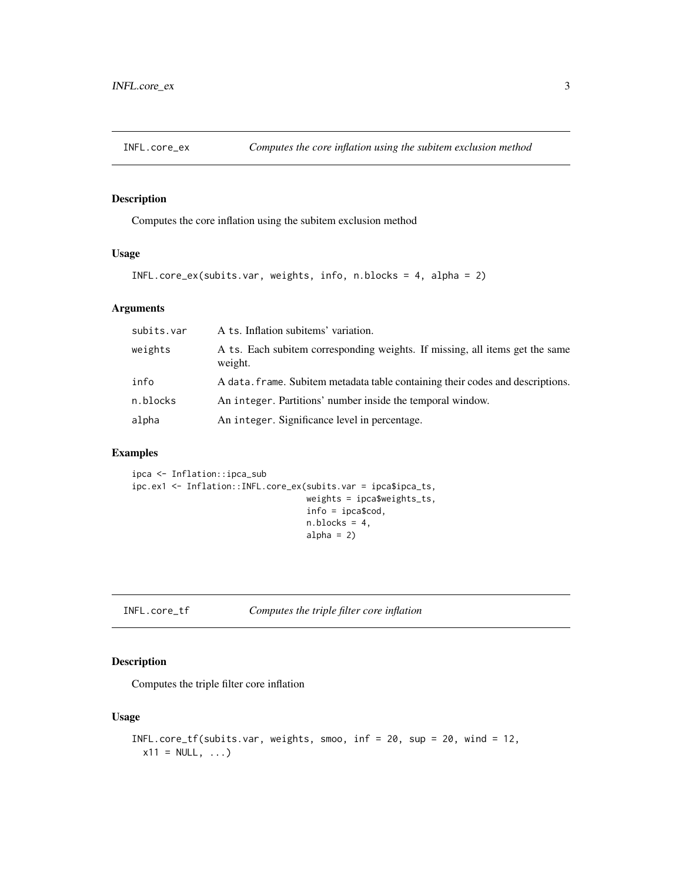<span id="page-2-0"></span>

#### Description

Computes the core inflation using the subitem exclusion method

#### Usage

```
INFL.core_ex(subits.var, weights, info, n.blocks = 4, alpha = 2)
```
#### Arguments

| subits.var | A ts. Inflation subitems' variation.                                                    |
|------------|-----------------------------------------------------------------------------------------|
| weights    | A ts. Each subitem corresponding weights. If missing, all items get the same<br>weight. |
| info       | A data. frame. Subitem metadata table containing their codes and descriptions.          |
| n.blocks   | An integer. Partitions' number inside the temporal window.                              |
| alpha      | An integer. Significance level in percentage.                                           |

#### Examples

```
ipca <- Inflation::ipca_sub
ipc.ex1 <- Inflation::INFL.core_ex(subits.var = ipca$ipca_ts,
                                   weights = ipca$weights_ts,
                                   info = ipca$cod,
                                   n.blocks = 4,
                                   alpha = 2)
```
INFL.core\_tf *Computes the triple filter core inflation*

#### Description

Computes the triple filter core inflation

#### Usage

```
INFL.core_tf(subits.var, weights, smoo, inf = 20, sup = 20, wind = 12,
 x11 = NULL, ...
```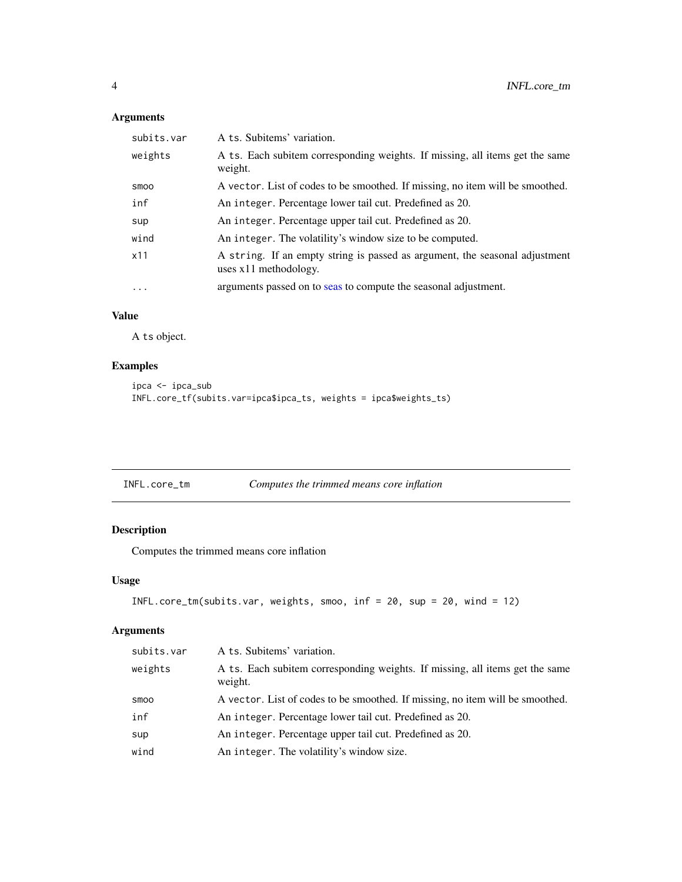### Arguments

| subits.var  | A ts. Subitems' variation.                                                                             |
|-------------|--------------------------------------------------------------------------------------------------------|
| weights     | A ts. Each subitem corresponding weights. If missing, all items get the same<br>weight.                |
| <b>SMOO</b> | A vector. List of codes to be smoothed. If missing, no item will be smoothed.                          |
| inf         | An integer. Percentage lower tail cut. Predefined as 20.                                               |
| sup         | An integer. Percentage upper tail cut. Predefined as 20.                                               |
| wind        | An integer. The volatility's window size to be computed.                                               |
| x11         | A string. If an empty string is passed as argument, the seasonal adjustment<br>uses $x11$ methodology. |
| $\cdots$    | arguments passed on to seas to compute the seasonal adjustment.                                        |

### Value

A ts object.

#### Examples

```
ipca <- ipca_sub
INFL.core_tf(subits.var=ipca$ipca_ts, weights = ipca$weights_ts)
```

| INFL.core_tm | Computes the trimmed means core inflation |  |
|--------------|-------------------------------------------|--|

### Description

Computes the trimmed means core inflation

#### Usage

```
INFL.core_tm(subits.var, weights, smoo, inf = 20, sup = 20, wind = 12)
```
#### Arguments

| subits.var | A ts. Subitems' variation.                                                              |
|------------|-----------------------------------------------------------------------------------------|
| weights    | A ts. Each subitem corresponding weights. If missing, all items get the same<br>weight. |
| smoo       | A vector. List of codes to be smoothed. If missing, no item will be smoothed.           |
| inf        | An integer. Percentage lower tail cut. Predefined as 20.                                |
| sup        | An integer. Percentage upper tail cut. Predefined as 20.                                |
| wind       | An integer. The volatility's window size.                                               |

<span id="page-3-0"></span>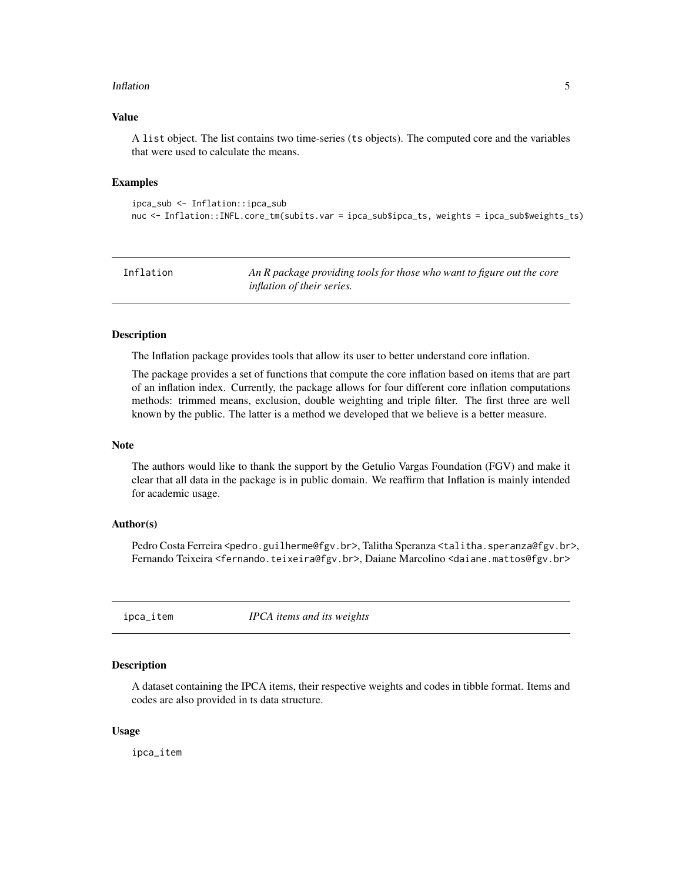#### <span id="page-4-0"></span>Inflation 5

#### Value

A list object. The list contains two time-series (ts objects). The computed core and the variables that were used to calculate the means.

#### Examples

```
ipca_sub <- Inflation::ipca_sub
nuc <- Inflation::INFL.core_tm(subits.var = ipca_sub$ipca_ts, weights = ipca_sub$weights_ts)
```

| Inflation | An R package providing tools for those who want to figure out the core |
|-----------|------------------------------------------------------------------------|
|           | <i>inflation of their series.</i>                                      |

#### Description

The Inflation package provides tools that allow its user to better understand core inflation.

The package provides a set of functions that compute the core inflation based on items that are part of an inflation index. Currently, the package allows for four different core inflation computations methods: trimmed means, exclusion, double weighting and triple filter. The first three are well known by the public. The latter is a method we developed that we believe is a better measure.

#### Note

The authors would like to thank the support by the Getulio Vargas Foundation (FGV) and make it clear that all data in the package is in public domain. We reaffirm that Inflation is mainly intended for academic usage.

#### Author(s)

Pedro Costa Ferreira <pedro.guilherme@fgv.br>, Talitha Speranza <talitha.speranza@fgv.br>, Fernando Teixeira <fernando.teixeira@fgv.br>, Daiane Marcolino <daiane.mattos@fgv.br>

ipca\_item *IPCA items and its weights*

#### Description

A dataset containing the IPCA items, their respective weights and codes in tibble format. Items and codes are also provided in ts data structure.

#### Usage

ipca\_item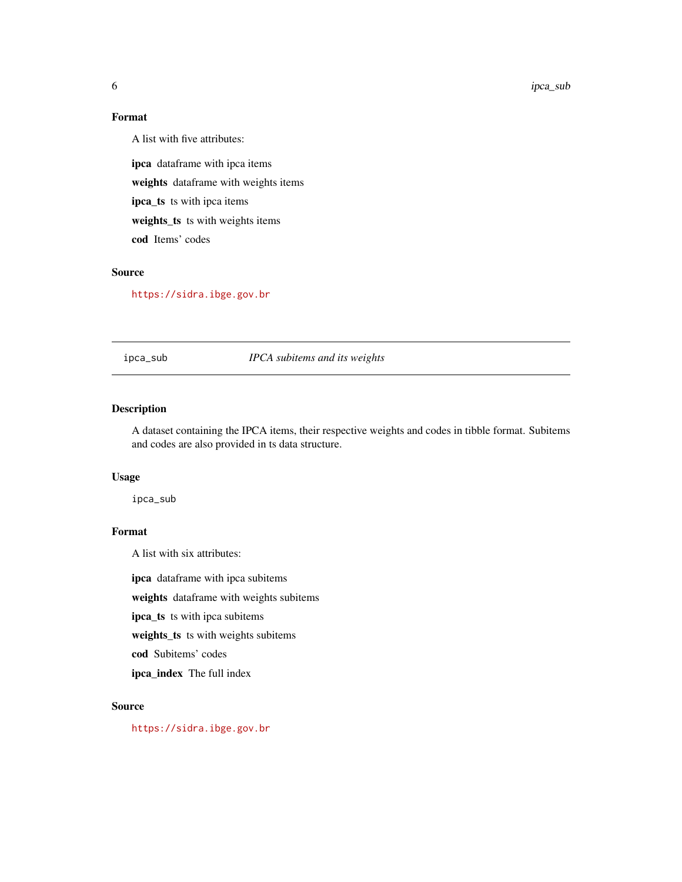#### <span id="page-5-0"></span>Format

A list with five attributes:

ipca dataframe with ipca items weights dataframe with weights items ipca\_ts ts with ipca items weights\_ts ts with weights items cod Items' codes

#### Source

<https://sidra.ibge.gov.br>

ipca\_sub *IPCA subitems and its weights*

#### Description

A dataset containing the IPCA items, their respective weights and codes in tibble format. Subitems and codes are also provided in ts data structure.

#### Usage

ipca\_sub

#### Format

A list with six attributes:

ipca dataframe with ipca subitems

weights dataframe with weights subitems

ipca\_ts ts with ipca subitems

weights\_ts ts with weights subitems

cod Subitems' codes

ipca\_index The full index

#### Source

<https://sidra.ibge.gov.br>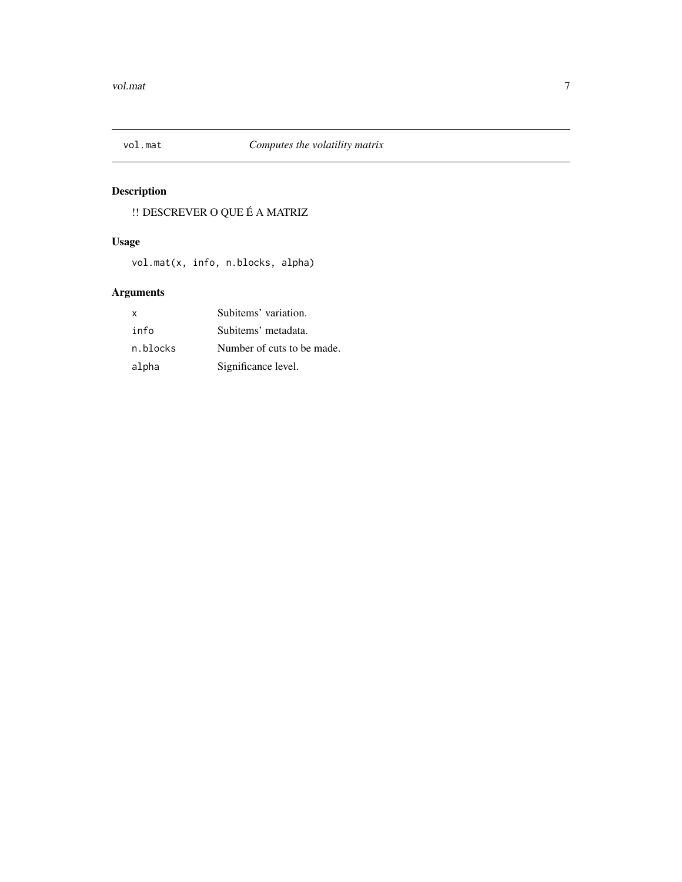<span id="page-6-0"></span>

# Description

!! DESCREVER O QUE É A MATRIZ

# Usage

vol.mat(x, info, n.blocks, alpha)

# Arguments

| X        | Subitems' variation.       |
|----------|----------------------------|
| info     | Subitems' metadata.        |
| n.blocks | Number of cuts to be made. |
| alpha    | Significance level.        |